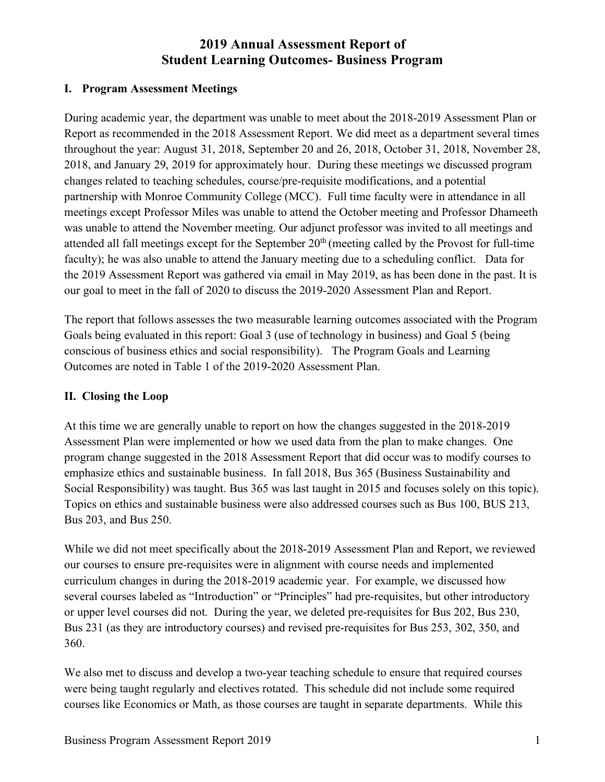#### **I. Program Assessment Meetings**

During academic year, the department was unable to meet about the 2018-2019 Assessment Plan or Report as recommended in the 2018 Assessment Report. We did meet as a department several times throughout the year: August 31, 2018, September 20 and 26, 2018, October 31, 2018, November 28, 2018, and January 29, 2019 for approximately hour. During these meetings we discussed program changes related to teaching schedules, course/pre-requisite modifications, and a potential partnership with Monroe Community College (MCC). Full time faculty were in attendance in all meetings except Professor Miles was unable to attend the October meeting and Professor Dhameeth was unable to attend the November meeting. Our adjunct professor was invited to all meetings and attended all fall meetings except for the September 20<sup>th</sup> (meeting called by the Provost for full-time faculty); he was also unable to attend the January meeting due to a scheduling conflict. Data for the 2019 Assessment Report was gathered via email in May 2019, as has been done in the past. It is our goal to meet in the fall of 2020 to discuss the 2019-2020 Assessment Plan and Report.

The report that follows assesses the two measurable learning outcomes associated with the Program Goals being evaluated in this report: Goal 3 (use of technology in business) and Goal 5 (being conscious of business ethics and social responsibility). The Program Goals and Learning Outcomes are noted in Table 1 of the 2019-2020 Assessment Plan.

#### **II. Closing the Loop**

At this time we are generally unable to report on how the changes suggested in the 2018-2019 Assessment Plan were implemented or how we used data from the plan to make changes. One program change suggested in the 2018 Assessment Report that did occur was to modify courses to emphasize ethics and sustainable business. In fall 2018, Bus 365 (Business Sustainability and Social Responsibility) was taught. Bus 365 was last taught in 2015 and focuses solely on this topic). Topics on ethics and sustainable business were also addressed courses such as Bus 100, BUS 213, Bus 203, and Bus 250.

While we did not meet specifically about the 2018-2019 Assessment Plan and Report, we reviewed our courses to ensure pre-requisites were in alignment with course needs and implemented curriculum changes in during the 2018-2019 academic year. For example, we discussed how several courses labeled as "Introduction" or "Principles" had pre-requisites, but other introductory or upper level courses did not. During the year, we deleted pre-requisites for Bus 202, Bus 230, Bus 231 (as they are introductory courses) and revised pre-requisites for Bus 253, 302, 350, and 360.

We also met to discuss and develop a two-year teaching schedule to ensure that required courses were being taught regularly and electives rotated. This schedule did not include some required courses like Economics or Math, as those courses are taught in separate departments. While this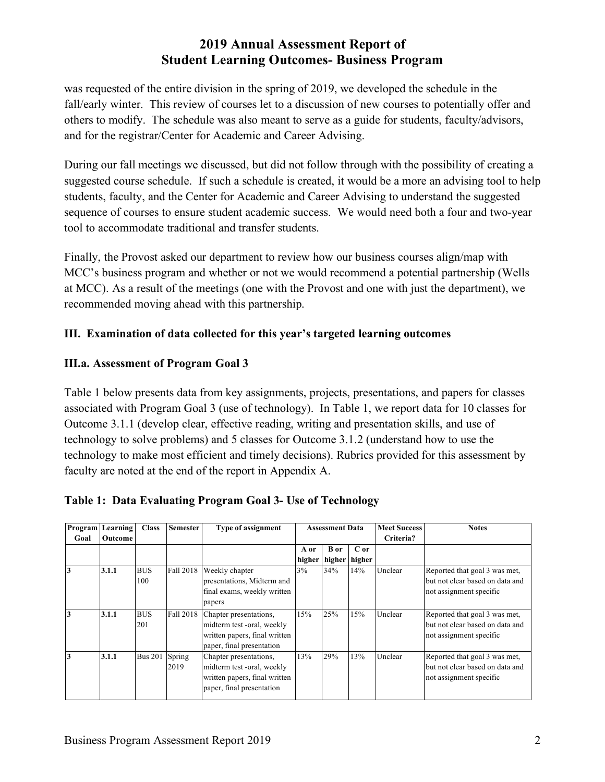was requested of the entire division in the spring of 2019, we developed the schedule in the fall/early winter. This review of courses let to a discussion of new courses to potentially offer and others to modify. The schedule was also meant to serve as a guide for students, faculty/advisors, and for the registrar/Center for Academic and Career Advising.

During our fall meetings we discussed, but did not follow through with the possibility of creating a suggested course schedule. If such a schedule is created, it would be a more an advising tool to help students, faculty, and the Center for Academic and Career Advising to understand the suggested sequence of courses to ensure student academic success. We would need both a four and two-year tool to accommodate traditional and transfer students.

Finally, the Provost asked our department to review how our business courses align/map with MCC's business program and whether or not we would recommend a potential partnership (Wells at MCC). As a result of the meetings (one with the Provost and one with just the department), we recommended moving ahead with this partnership.

#### **III. Examination of data collected for this year's targeted learning outcomes**

#### **III.a. Assessment of Program Goal 3**

Table 1 below presents data from key assignments, projects, presentations, and papers for classes associated with Program Goal 3 (use of technology). In Table 1, we report data for 10 classes for Outcome 3.1.1 (develop clear, effective reading, writing and presentation skills, and use of technology to solve problems) and 5 classes for Outcome 3.1.2 (understand how to use the technology to make most efficient and timely decisions). Rubrics provided for this assessment by faculty are noted at the end of the report in Appendix A.

|      | <b>Program</b> Learning | <b>Class</b>      | <b>Semester</b> | <b>Type of assignment</b>                                                                                          |      | <b>Assessment Data</b> |                      | <b>Meet Success</b> | <b>Notes</b>                                                                                |           |  |
|------|-------------------------|-------------------|-----------------|--------------------------------------------------------------------------------------------------------------------|------|------------------------|----------------------|---------------------|---------------------------------------------------------------------------------------------|-----------|--|
| Goal | <b>Outcome</b>          |                   |                 |                                                                                                                    |      |                        |                      |                     |                                                                                             | Criteria? |  |
|      |                         |                   |                 |                                                                                                                    | A or | <b>B</b> or            | C or                 |                     |                                                                                             |           |  |
|      |                         |                   |                 |                                                                                                                    |      |                        | higher higher higher |                     |                                                                                             |           |  |
| 3    | 3.1.1                   | <b>BUS</b><br>100 | Fall 2018       | Weekly chapter<br>presentations, Midterm and<br>final exams, weekly written<br>papers                              | 3%   | 34%                    | 14%                  | Unclear             | Reported that goal 3 was met,<br>but not clear based on data and<br>not assignment specific |           |  |
| 3    | 3.1.1                   | <b>BUS</b><br>201 | Fall 2018       | Chapter presentations,<br>midterm test -oral, weekly<br>written papers, final written<br>paper, final presentation | 15%  | 25%                    | 15%                  | Unclear             | Reported that goal 3 was met,<br>but not clear based on data and<br>not assignment specific |           |  |
| 3    | 3.1.1                   | <b>Bus 201</b>    | Spring<br>2019  | Chapter presentations,<br>midterm test -oral, weekly<br>written papers, final written<br>paper, final presentation | 13%  | 29%                    | 13%                  | Unclear             | Reported that goal 3 was met,<br>but not clear based on data and<br>not assignment specific |           |  |

|  |  | Table 1: Data Evaluating Program Goal 3- Use of Technology |
|--|--|------------------------------------------------------------|
|  |  |                                                            |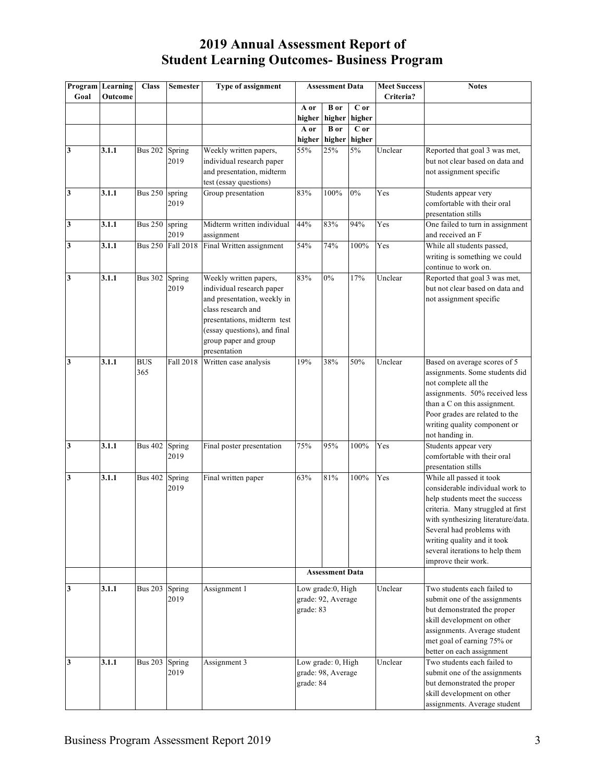|                         | Program Learning | <b>Class</b>   | <b>Semester</b>          | Type of assignment           | <b>Assessment Data</b> |                              | <b>Meet Success</b> | <b>Notes</b> |                                                                |
|-------------------------|------------------|----------------|--------------------------|------------------------------|------------------------|------------------------------|---------------------|--------------|----------------------------------------------------------------|
| Goal                    | Outcome          |                |                          |                              |                        |                              |                     | Criteria?    |                                                                |
|                         |                  |                |                          |                              | A or                   | $\overline{B}$ or            | C or                |              |                                                                |
|                         |                  |                |                          |                              | higher                 | higher                       | higher<br>C or      |              |                                                                |
|                         |                  |                |                          |                              | A or                   | <b>B</b> or<br>higher higher | higher              |              |                                                                |
| 3                       | 3.1.1            | <b>Bus 202</b> | Spring                   | Weekly written papers,       | 55%                    | 25%                          | 5%                  | Unclear      | Reported that goal 3 was met,                                  |
|                         |                  |                | 2019                     | individual research paper    |                        |                              |                     |              | but not clear based on data and                                |
|                         |                  |                |                          | and presentation, midterm    |                        |                              |                     |              | not assignment specific                                        |
|                         |                  |                |                          | test (essay questions)       |                        |                              |                     |              |                                                                |
| $\overline{\mathbf{3}}$ | 3.1.1            | <b>Bus 250</b> | spring                   | Group presentation           | 83%                    | 100%                         | 0%                  | Yes          | Students appear very                                           |
|                         |                  |                | 2019                     |                              |                        |                              |                     |              | comfortable with their oral                                    |
|                         |                  |                |                          |                              |                        |                              |                     |              | presentation stills                                            |
| $\mathbf{3}$            | 3.1.1            | <b>Bus 250</b> | spring                   | Midterm written individual   | 44%                    | 83%                          | $\overline{9}4\%$   | Yes          | One failed to turn in assignment                               |
|                         |                  |                | 2019                     | assignment                   |                        |                              |                     |              | and received an F                                              |
| $\mathbf{3}$            | 3.1.1            |                | <b>Bus 250 Fall 2018</b> | Final Written assignment     | 54%                    | 74%                          | 100%                | Yes          | While all students passed,                                     |
|                         |                  |                |                          |                              |                        |                              |                     |              | writing is something we could                                  |
|                         |                  |                |                          |                              |                        |                              |                     |              | continue to work on.                                           |
| $\mathbf{3}$            | 3.1.1            | <b>Bus 302</b> | Spring                   | Weekly written papers,       | 83%                    | $0\%$                        | 17%                 | Unclear      | Reported that goal 3 was met,                                  |
|                         |                  |                | 2019                     | individual research paper    |                        |                              |                     |              | but not clear based on data and                                |
|                         |                  |                |                          | and presentation, weekly in  |                        |                              |                     |              | not assignment specific                                        |
|                         |                  |                |                          | class research and           |                        |                              |                     |              |                                                                |
|                         |                  |                |                          | presentations, midterm test  |                        |                              |                     |              |                                                                |
|                         |                  |                |                          | (essay questions), and final |                        |                              |                     |              |                                                                |
|                         |                  |                |                          | group paper and group        |                        |                              |                     |              |                                                                |
|                         |                  |                |                          | presentation                 |                        |                              |                     |              |                                                                |
| 3                       | 3.1.1            | <b>BUS</b>     | Fall 2018                | Written case analysis        | 19%                    | 38%                          | 50%                 | Unclear      | Based on average scores of 5                                   |
|                         |                  | 365            |                          |                              |                        |                              |                     |              | assignments. Some students did                                 |
|                         |                  |                |                          |                              |                        |                              |                     |              | not complete all the                                           |
|                         |                  |                |                          |                              |                        |                              |                     |              | assignments. 50% received less                                 |
|                         |                  |                |                          |                              |                        |                              |                     |              | than a C on this assignment.                                   |
|                         |                  |                |                          |                              |                        |                              |                     |              | Poor grades are related to the<br>writing quality component or |
|                         |                  |                |                          |                              |                        |                              |                     |              | not handing in.                                                |
| $\mathbf{3}$            | 3.1.1            | <b>Bus 402</b> | Spring                   | Final poster presentation    | 75%                    | 95%                          | 100%                | Yes          | Students appear very                                           |
|                         |                  |                | 2019                     |                              |                        |                              |                     |              | comfortable with their oral                                    |
|                         |                  |                |                          |                              |                        |                              |                     |              | presentation stills                                            |
| $\mathbf{3}$            | 3.1.1            | <b>Bus 402</b> | Spring                   | Final written paper          | 63%                    | 81%                          | 100%                | Yes          | While all passed it took                                       |
|                         |                  |                | 2019                     |                              |                        |                              |                     |              | considerable individual work to                                |
|                         |                  |                |                          |                              |                        |                              |                     |              | help students meet the success                                 |
|                         |                  |                |                          |                              |                        |                              |                     |              | criteria. Many struggled at first                              |
|                         |                  |                |                          |                              |                        |                              |                     |              | with synthesizing literature/data.                             |
|                         |                  |                |                          |                              |                        |                              |                     |              | Several had problems with                                      |
|                         |                  |                |                          |                              |                        |                              |                     |              | writing quality and it took                                    |
|                         |                  |                |                          |                              |                        |                              |                     |              | several iterations to help them                                |
|                         |                  |                |                          |                              |                        |                              |                     |              | improve their work.                                            |
|                         |                  |                |                          |                              |                        | <b>Assessment Data</b>       |                     |              |                                                                |
| 3                       | 3.1.1            | <b>Bus 203</b> | Spring                   | Assignment 1                 |                        | Low grade:0, High            |                     | Unclear      | Two students each failed to                                    |
|                         |                  |                | 2019                     |                              |                        | grade: 92, Average           |                     |              | submit one of the assignments                                  |
|                         |                  |                |                          |                              | grade: 83              |                              |                     |              | but demonstrated the proper                                    |
|                         |                  |                |                          |                              |                        |                              |                     |              | skill development on other                                     |
|                         |                  |                |                          |                              |                        |                              |                     |              | assignments. Average student                                   |
|                         |                  |                |                          |                              |                        |                              |                     |              | met goal of earning 75% or                                     |
|                         |                  |                |                          |                              |                        |                              |                     |              | better on each assignment                                      |
| $\mathbf{3}$            | 3.1.1            | <b>Bus 203</b> | Spring                   | Assignment 3                 |                        | Low grade: 0, High           |                     | Unclear      | Two students each failed to                                    |
|                         |                  |                | 2019                     |                              |                        | grade: 98, Average           |                     |              | submit one of the assignments                                  |
|                         |                  |                |                          |                              | grade: 84              |                              |                     |              | but demonstrated the proper                                    |
|                         |                  |                |                          |                              |                        |                              |                     |              | skill development on other                                     |
|                         |                  |                |                          |                              |                        |                              |                     |              | assignments. Average student                                   |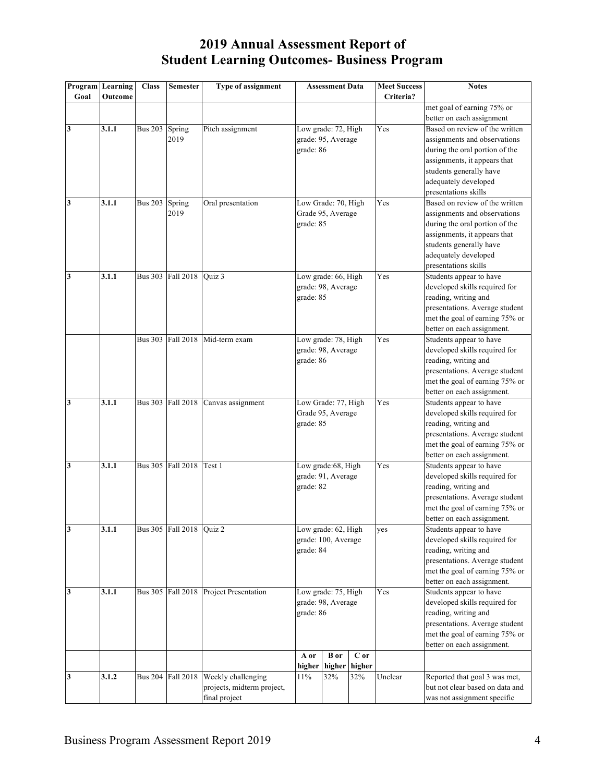| Goal         | Program Learning<br>Outcome | <b>Class</b>   | <b>Semester</b>          | Type of assignment           |                  | <b>Assessment Data</b> |        | <b>Meet Success</b><br>Criteria? | <b>Notes</b>                                                 |
|--------------|-----------------------------|----------------|--------------------------|------------------------------|------------------|------------------------|--------|----------------------------------|--------------------------------------------------------------|
|              |                             |                |                          |                              |                  |                        |        |                                  | met goal of earning 75% or                                   |
|              |                             |                |                          |                              |                  |                        |        |                                  | better on each assignment                                    |
| $\mathbf{3}$ | 3.1.1                       | <b>Bus 203</b> | Spring                   | Pitch assignment             |                  | Low grade: 72, High    |        | Yes                              | Based on review of the written                               |
|              |                             |                | 2019                     |                              |                  | grade: 95, Average     |        |                                  | assignments and observations                                 |
|              |                             |                |                          |                              | grade: 86        |                        |        |                                  | during the oral portion of the                               |
|              |                             |                |                          |                              |                  |                        |        |                                  | assignments, it appears that                                 |
|              |                             |                |                          |                              |                  |                        |        |                                  | students generally have                                      |
|              |                             |                |                          |                              |                  |                        |        |                                  | adequately developed                                         |
|              |                             |                |                          |                              |                  |                        |        |                                  | presentations skills                                         |
| $\mathbf{3}$ | 3.1.1                       | <b>Bus 203</b> | Spring                   | Oral presentation            |                  | Low Grade: 70, High    |        | Yes                              | Based on review of the written                               |
|              |                             |                | 2019                     |                              |                  | Grade 95, Average      |        |                                  | assignments and observations                                 |
|              |                             |                |                          |                              | grade: 85        |                        |        |                                  | during the oral portion of the                               |
|              |                             |                |                          |                              |                  |                        |        |                                  | assignments, it appears that                                 |
|              |                             |                |                          |                              |                  |                        |        |                                  | students generally have                                      |
|              |                             |                |                          |                              |                  |                        |        |                                  | adequately developed                                         |
|              |                             |                |                          |                              |                  |                        |        | presentations skills             |                                                              |
| 3            | 3.1.1                       |                | Bus 303 Fall 2018        | Quiz 3                       |                  | Low grade: 66, High    |        | Yes                              | Students appear to have                                      |
|              |                             |                |                          |                              |                  | grade: 98, Average     |        |                                  | developed skills required for                                |
|              |                             |                |                          |                              | grade: 85        |                        |        |                                  | reading, writing and                                         |
|              |                             |                |                          |                              |                  |                        |        |                                  | presentations. Average student                               |
|              |                             |                |                          |                              |                  |                        |        |                                  | met the goal of earning 75% or                               |
|              |                             |                |                          |                              |                  |                        |        |                                  | better on each assignment.                                   |
|              |                             | <b>Bus 303</b> |                          | Fall 2018 Mid-term exam      |                  | Low grade: 78, High    |        | Yes                              | Students appear to have                                      |
|              |                             |                |                          |                              |                  | grade: 98, Average     |        |                                  | developed skills required for                                |
|              |                             |                |                          |                              | grade: 86        |                        |        |                                  | reading, writing and                                         |
|              |                             |                |                          |                              |                  |                        |        |                                  | presentations. Average student                               |
|              |                             |                |                          |                              |                  |                        |        |                                  | met the goal of earning 75% or<br>better on each assignment. |
| 3            | 3.1.1                       |                | Bus 303 Fall 2018        | Canvas assignment            |                  | Low Grade: 77, High    |        | Yes                              | Students appear to have                                      |
|              |                             |                |                          |                              |                  | Grade 95, Average      |        |                                  | developed skills required for                                |
|              |                             |                |                          |                              | grade: 85        |                        |        |                                  | reading, writing and                                         |
|              |                             |                |                          |                              |                  |                        |        |                                  | presentations. Average student                               |
|              |                             |                |                          |                              |                  |                        |        |                                  | met the goal of earning 75% or                               |
|              |                             |                |                          |                              |                  |                        |        |                                  | better on each assignment.                                   |
| $\mathbf{3}$ | 3.1.1                       |                | <b>Bus 305</b> Fall 2018 | Test 1                       |                  | Low grade:68, High     |        | Yes                              | Students appear to have                                      |
|              |                             |                |                          |                              |                  | grade: 91, Average     |        |                                  | developed skills required for                                |
|              |                             |                |                          |                              | grade: 82        |                        |        |                                  | reading, writing and                                         |
|              |                             |                |                          |                              |                  |                        |        |                                  | presentations. Average student                               |
|              |                             |                |                          |                              |                  |                        |        |                                  | met the goal of earning 75% or                               |
|              |                             |                |                          |                              |                  |                        |        |                                  | better on each assignment.                                   |
| 3            | 3.1.1                       |                | Bus 305 Fall 2018 Quiz 2 |                              |                  | Low grade: 62, High    |        | yes                              | Students appear to have                                      |
|              |                             |                |                          |                              |                  | grade: 100, Average    |        |                                  | developed skills required for                                |
|              |                             |                |                          |                              | grade: 84        |                        |        |                                  | reading, writing and                                         |
|              |                             |                |                          |                              |                  |                        |        |                                  | presentations. Average student                               |
|              |                             |                |                          |                              |                  |                        |        |                                  | met the goal of earning 75% or                               |
|              |                             |                |                          |                              |                  |                        |        |                                  | better on each assignment.                                   |
| 3            | 3.1.1                       |                | Bus 305 Fall 2018        | Project Presentation         |                  | Low grade: 75, High    |        | Yes                              | Students appear to have                                      |
|              |                             |                |                          |                              |                  | grade: 98, Average     |        |                                  | developed skills required for                                |
|              |                             |                |                          |                              | grade: 86        |                        |        |                                  | reading, writing and                                         |
|              |                             |                |                          |                              |                  |                        |        |                                  | presentations. Average student                               |
|              |                             |                |                          |                              |                  |                        |        |                                  | met the goal of earning 75% or                               |
|              |                             |                |                          |                              |                  |                        |        |                                  | better on each assignment.                                   |
|              |                             |                |                          |                              | A or             | <b>B</b> or            | C or   |                                  |                                                              |
|              |                             |                |                          |                              | higher           | higher                 | higher |                                  |                                                              |
| 3            | 3.1.2                       | <b>Bus 204</b> |                          | Fall 2018 Weekly challenging | $\frac{1}{1}$ 1% | 32%                    | 32%    | Unclear                          | Reported that goal 3 was met,                                |
|              |                             |                |                          | projects, midterm project,   |                  |                        |        |                                  | but not clear based on data and                              |
|              |                             |                |                          | final project                |                  |                        |        |                                  | was not assignment specific                                  |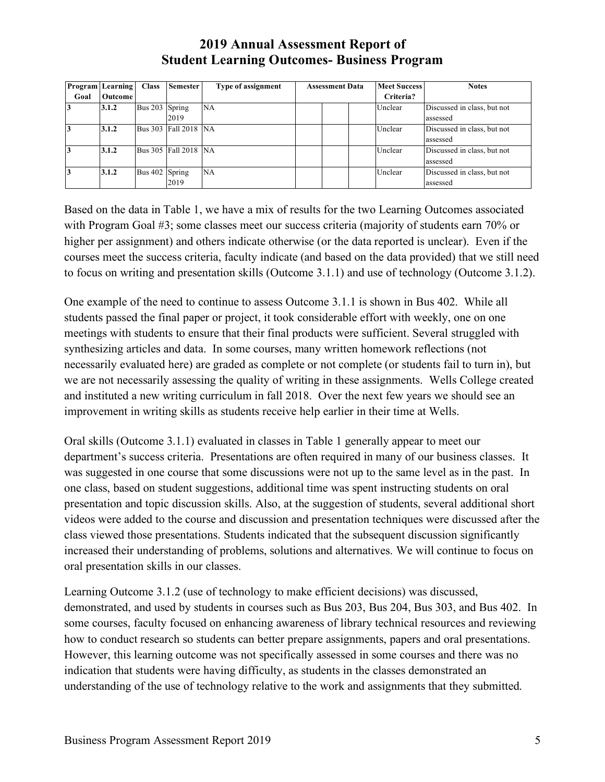|           | <b>Program</b> Learning | <b>Class</b>   | <b>Semester</b>      | <b>Type of assignment</b> | <b>Assessment Data</b> |  | <b>Meet Success</b> | <b>Notes</b> |                             |
|-----------|-------------------------|----------------|----------------------|---------------------------|------------------------|--|---------------------|--------------|-----------------------------|
| Goal      | <b>Outcome</b>          |                |                      |                           |                        |  | Criteria?           |              |                             |
| 13        | 3.1.2                   | Bus 203 Spring |                      | NA                        |                        |  |                     | Unclear      | Discussed in class, but not |
|           |                         |                | 2019                 |                           |                        |  |                     |              | assessed                    |
| $\vert$ 3 | 3.1.2                   |                | Bus 303 Fall 2018 NA |                           |                        |  |                     | Unclear      | Discussed in class, but not |
|           |                         |                |                      |                           |                        |  |                     |              | assessed                    |
| 13        | 3.1.2                   |                | Bus 305 Fall 2018 NA |                           |                        |  |                     | Unclear      | Discussed in class, but not |
|           |                         |                |                      |                           |                        |  |                     |              | assessed                    |
| 13        | 3.1.2                   | Bus 402 Spring |                      | NA                        |                        |  |                     | Unclear      | Discussed in class, but not |
|           |                         |                | 2019                 |                           |                        |  |                     |              | assessed                    |

Based on the data in Table 1, we have a mix of results for the two Learning Outcomes associated with Program Goal #3; some classes meet our success criteria (majority of students earn 70% or higher per assignment) and others indicate otherwise (or the data reported is unclear). Even if the courses meet the success criteria, faculty indicate (and based on the data provided) that we still need to focus on writing and presentation skills (Outcome 3.1.1) and use of technology (Outcome 3.1.2).

One example of the need to continue to assess Outcome 3.1.1 is shown in Bus 402. While all students passed the final paper or project, it took considerable effort with weekly, one on one meetings with students to ensure that their final products were sufficient. Several struggled with synthesizing articles and data. In some courses, many written homework reflections (not necessarily evaluated here) are graded as complete or not complete (or students fail to turn in), but we are not necessarily assessing the quality of writing in these assignments. Wells College created and instituted a new writing curriculum in fall 2018. Over the next few years we should see an improvement in writing skills as students receive help earlier in their time at Wells.

Oral skills (Outcome 3.1.1) evaluated in classes in Table 1 generally appear to meet our department's success criteria. Presentations are often required in many of our business classes. It was suggested in one course that some discussions were not up to the same level as in the past. In one class, based on student suggestions, additional time was spent instructing students on oral presentation and topic discussion skills. Also, at the suggestion of students, several additional short videos were added to the course and discussion and presentation techniques were discussed after the class viewed those presentations. Students indicated that the subsequent discussion significantly increased their understanding of problems, solutions and alternatives. We will continue to focus on oral presentation skills in our classes.

Learning Outcome 3.1.2 (use of technology to make efficient decisions) was discussed, demonstrated, and used by students in courses such as Bus 203, Bus 204, Bus 303, and Bus 402. In some courses, faculty focused on enhancing awareness of library technical resources and reviewing how to conduct research so students can better prepare assignments, papers and oral presentations. However, this learning outcome was not specifically assessed in some courses and there was no indication that students were having difficulty, as students in the classes demonstrated an understanding of the use of technology relative to the work and assignments that they submitted.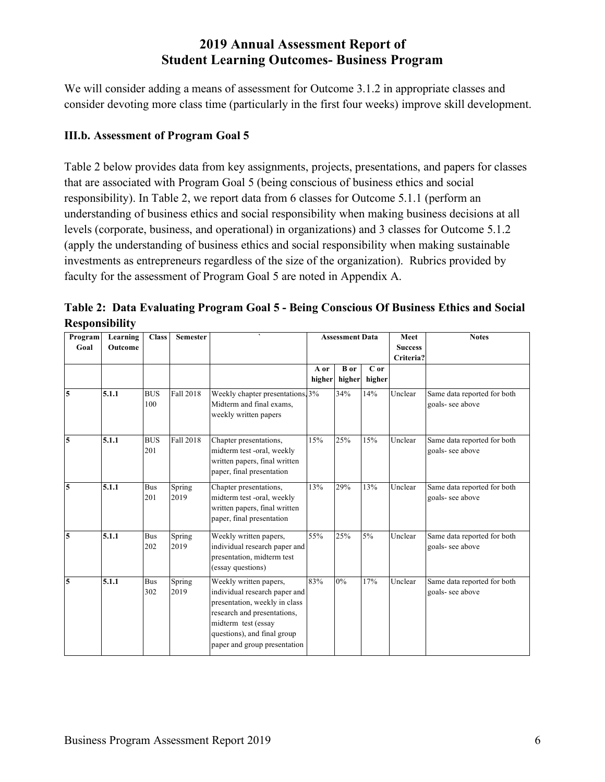We will consider adding a means of assessment for Outcome 3.1.2 in appropriate classes and consider devoting more class time (particularly in the first four weeks) improve skill development.

#### **III.b. Assessment of Program Goal 5**

Table 2 below provides data from key assignments, projects, presentations, and papers for classes that are associated with Program Goal 5 (being conscious of business ethics and social responsibility). In Table 2, we report data from 6 classes for Outcome 5.1.1 (perform an understanding of business ethics and social responsibility when making business decisions at all levels (corporate, business, and operational) in organizations) and 3 classes for Outcome 5.1.2 (apply the understanding of business ethics and social responsibility when making sustainable investments as entrepreneurs regardless of the size of the organization). Rubrics provided by faculty for the assessment of Program Goal 5 are noted in Appendix A.

| Program<br>Goal | Learning<br>Outcome | <b>Class</b>      | <b>Semester</b> |                                                                                                                                                                                                               | <b>Assessment Data</b> |                       |                | Meet<br><b>Success</b><br>Criteria? | <b>Notes</b>                                   |
|-----------------|---------------------|-------------------|-----------------|---------------------------------------------------------------------------------------------------------------------------------------------------------------------------------------------------------------|------------------------|-----------------------|----------------|-------------------------------------|------------------------------------------------|
|                 |                     |                   |                 |                                                                                                                                                                                                               | A or<br>higher         | <b>B</b> or<br>higher | C or<br>higher |                                     |                                                |
| 5               | 5.1.1               | <b>BUS</b><br>100 | Fall 2018       | Weekly chapter presentations, 3%<br>Midterm and final exams.<br>weekly written papers                                                                                                                         |                        | 34%                   | 14%            | Unclear                             | Same data reported for both<br>goals-see above |
| 5               | 5.1.1               | <b>BUS</b><br>201 | Fall 2018       | Chapter presentations,<br>midterm test -oral, weekly<br>written papers, final written<br>paper, final presentation                                                                                            | 15%                    | 25%                   | 15%            | Unclear                             | Same data reported for both<br>goals-see above |
| 5               | 5.1.1               | <b>Bus</b><br>201 | Spring<br>2019  | Chapter presentations,<br>midterm test -oral, weekly<br>written papers, final written<br>paper, final presentation                                                                                            | 13%                    | 29%                   | 13%            | Unclear                             | Same data reported for both<br>goals-see above |
| 5               | 5.1.1               | <b>Bus</b><br>202 | Spring<br>2019  | Weekly written papers,<br>individual research paper and<br>presentation, midterm test<br>(essay questions)                                                                                                    | 55%                    | 25%                   | $5\%$          | Unclear                             | Same data reported for both<br>goals-see above |
| 5               | 5.1.1               | <b>Bus</b><br>302 | Spring<br>2019  | Weekly written papers,<br>individual research paper and<br>presentation, weekly in class<br>research and presentations,<br>midterm test (essay<br>questions), and final group<br>paper and group presentation | 83%                    | $0\%$                 | 17%            | Unclear                             | Same data reported for both<br>goals-see above |

**Table 2: Data Evaluating Program Goal 5 - Being Conscious Of Business Ethics and Social Responsibility**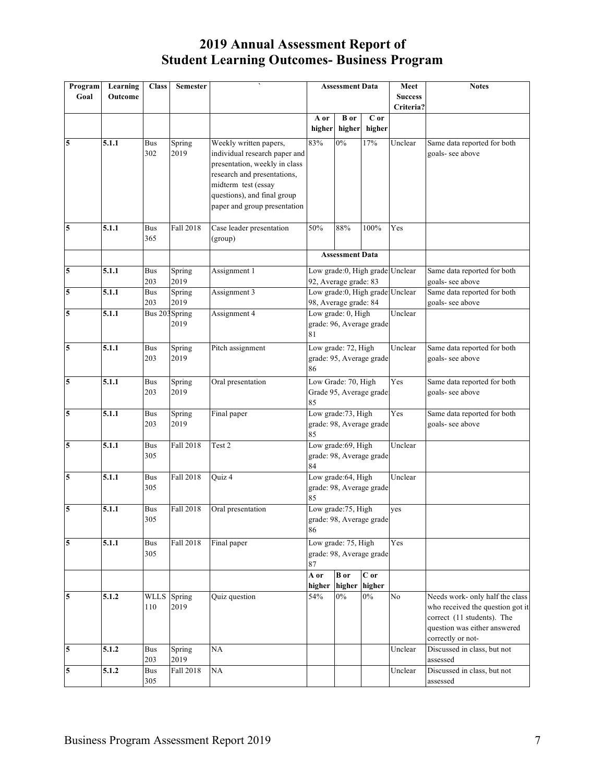| Program        | Learning | <b>Class</b>      | <b>Semester</b> |                               |                       | <b>Assessment Data</b> |                                 | Meet                            | <b>Notes</b>                                     |
|----------------|----------|-------------------|-----------------|-------------------------------|-----------------------|------------------------|---------------------------------|---------------------------------|--------------------------------------------------|
| Goal           | Outcome  |                   |                 |                               |                       |                        |                                 | <b>Success</b><br>Criteria?     |                                                  |
|                |          |                   |                 |                               | A or                  | <b>B</b> or            | C or                            |                                 |                                                  |
|                |          |                   |                 |                               | higher                | higher                 | higher                          |                                 |                                                  |
| 5              | 5.1.1    | <b>Bus</b>        | Spring          | Weekly written papers,        | 83%                   | 0%                     | 17%                             | Unclear                         | Same data reported for both                      |
|                |          | 302               | 2019            | individual research paper and |                       |                        |                                 |                                 | goals-see above                                  |
|                |          |                   |                 | presentation, weekly in class |                       |                        |                                 |                                 |                                                  |
|                |          |                   |                 | research and presentations,   |                       |                        |                                 |                                 |                                                  |
|                |          |                   |                 | midterm test (essay           |                       |                        |                                 |                                 |                                                  |
|                |          |                   |                 | questions), and final group   |                       |                        |                                 |                                 |                                                  |
|                |          |                   |                 | paper and group presentation  |                       |                        |                                 |                                 |                                                  |
| 5              | 5.1.1    | <b>Bus</b>        | Fall 2018       | Case leader presentation      | 50%                   | 88%                    | 100%                            | Yes                             |                                                  |
|                |          | 365               |                 | (group)                       |                       |                        |                                 |                                 |                                                  |
|                |          |                   |                 |                               |                       | <b>Assessment Data</b> |                                 |                                 |                                                  |
| $\overline{5}$ | 5.1.1    | <b>Bus</b>        | Spring          | Assignment 1                  |                       |                        | Low grade:0, High grade Unclear |                                 | Same data reported for both                      |
|                |          | 203               | 2019            |                               | 92, Average grade: 83 |                        |                                 |                                 | goals- see above                                 |
| 5              | 5.1.1    | <b>Bus</b>        | Spring          | Assignment 3                  |                       |                        |                                 | Low grade:0, High grade Unclear | Same data reported for both                      |
|                |          | 203               | 2019            |                               | 98, Average grade: 84 |                        |                                 |                                 | goals-see above                                  |
| 5              | 5.1.1    | Bus 203 Spring    |                 | Assignment 4                  | Low grade: 0, High    |                        |                                 | Unclear                         |                                                  |
|                |          |                   | 2019            |                               |                       |                        | grade: 96, Average grade        |                                 |                                                  |
|                |          |                   |                 |                               | 81                    |                        |                                 |                                 |                                                  |
| $\overline{5}$ | 5.1.1    | Bus               | Spring          | Pitch assignment              | Low grade: 72, High   |                        |                                 | Unclear                         | Same data reported for both                      |
|                |          | 203               | 2019            |                               | 86                    |                        | grade: 95, Average grade        |                                 | goals-see above                                  |
| 5              | 5.1.1    |                   |                 |                               | Low Grade: 70, High   |                        |                                 | Yes                             |                                                  |
|                |          | <b>Bus</b><br>203 | Spring<br>2019  | Oral presentation             |                       |                        | Grade 95, Average grade         |                                 | Same data reported for both<br>goals-see above   |
|                |          |                   |                 |                               | 85                    |                        |                                 |                                 |                                                  |
| 5              | 5.1.1    | <b>Bus</b>        | Spring          | Final paper                   | Low grade: 73, High   |                        |                                 | Yes                             | Same data reported for both                      |
|                |          | 203               | 2019            |                               |                       |                        | grade: 98, Average grade        |                                 | goals-see above                                  |
|                |          |                   |                 |                               | 85                    |                        |                                 |                                 |                                                  |
| 5              | 5.1.1    | <b>Bus</b><br>305 | Fall 2018       | Test 2                        | Low grade:69, High    |                        |                                 | Unclear                         |                                                  |
|                |          |                   |                 |                               | 84                    |                        | grade: 98, Average grade        |                                 |                                                  |
| 5              | 5.1.1    | Bus               | Fall 2018       | Quiz 4                        |                       | Low grade:64, High     |                                 | Unclear                         |                                                  |
|                |          | 305               |                 |                               |                       |                        | grade: 98, Average grade        |                                 |                                                  |
|                |          |                   |                 |                               | 85                    |                        |                                 |                                 |                                                  |
| 5              | 5.1.1    | <b>Bus</b>        | Fall 2018       | Oral presentation             | Low grade: 75, High   |                        |                                 | yes                             |                                                  |
|                |          | 305               |                 |                               |                       |                        | grade: 98, Average grade        |                                 |                                                  |
|                |          |                   |                 |                               | 86                    |                        |                                 |                                 |                                                  |
| 5              | 5.1.1    | <b>Bus</b>        | Fall 2018       | Final paper                   | Low grade: 75, High   |                        |                                 | Yes                             |                                                  |
|                |          | 305               |                 |                               | 87                    |                        | grade: 98, Average grade        |                                 |                                                  |
|                |          |                   |                 |                               | A or                  | <b>B</b> or            | $C$ or                          |                                 |                                                  |
|                |          |                   |                 |                               | higher                | higher                 | higher                          |                                 |                                                  |
| 5              | 5.1.2    | <b>WLLS</b>       | Spring          | Quiz question                 | 54%                   | $0\%$                  | $0\%$                           | No                              | Needs work- only half the class                  |
|                |          | 110               | 2019            |                               |                       |                        |                                 |                                 | who received the question got it                 |
|                |          |                   |                 |                               |                       |                        |                                 |                                 | correct (11 students). The                       |
|                |          |                   |                 |                               |                       |                        |                                 |                                 | question was either answered                     |
| 5              | 5.1.2    | Bus               | Spring          | NA                            |                       |                        |                                 | Unclear                         | correctly or not-<br>Discussed in class, but not |
|                |          | 203               | 2019            |                               |                       |                        |                                 |                                 | assessed                                         |
| 5              | 5.1.2    | <b>Bus</b>        | Fall 2018       | NA                            |                       |                        |                                 | Unclear                         | Discussed in class, but not                      |
|                |          | 305               |                 |                               |                       |                        |                                 |                                 | assessed                                         |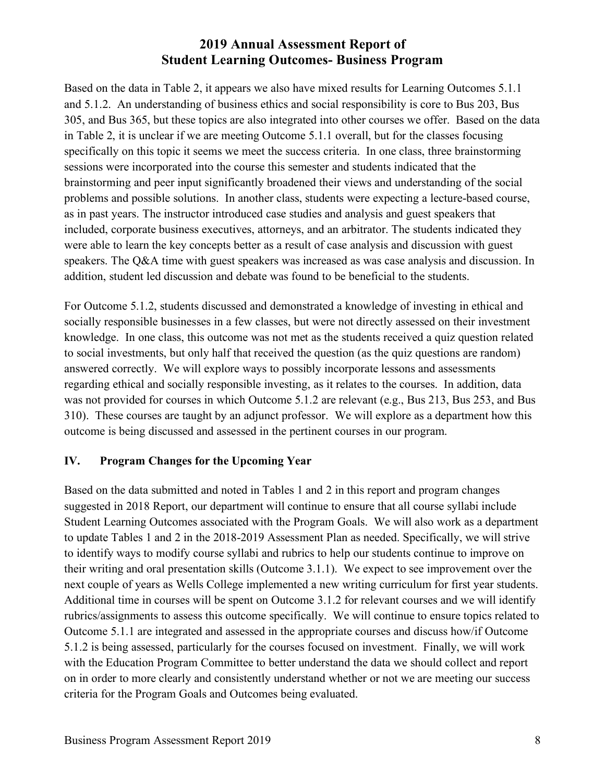Based on the data in Table 2, it appears we also have mixed results for Learning Outcomes 5.1.1 and 5.1.2. An understanding of business ethics and social responsibility is core to Bus 203, Bus 305, and Bus 365, but these topics are also integrated into other courses we offer. Based on the data in Table 2, it is unclear if we are meeting Outcome 5.1.1 overall, but for the classes focusing specifically on this topic it seems we meet the success criteria. In one class, three brainstorming sessions were incorporated into the course this semester and students indicated that the brainstorming and peer input significantly broadened their views and understanding of the social problems and possible solutions. In another class, students were expecting a lecture-based course, as in past years. The instructor introduced case studies and analysis and guest speakers that included, corporate business executives, attorneys, and an arbitrator. The students indicated they were able to learn the key concepts better as a result of case analysis and discussion with guest speakers. The Q&A time with guest speakers was increased as was case analysis and discussion. In addition, student led discussion and debate was found to be beneficial to the students.

For Outcome 5.1.2, students discussed and demonstrated a knowledge of investing in ethical and socially responsible businesses in a few classes, but were not directly assessed on their investment knowledge. In one class, this outcome was not met as the students received a quiz question related to social investments, but only half that received the question (as the quiz questions are random) answered correctly. We will explore ways to possibly incorporate lessons and assessments regarding ethical and socially responsible investing, as it relates to the courses. In addition, data was not provided for courses in which Outcome 5.1.2 are relevant (e.g., Bus 213, Bus 253, and Bus 310). These courses are taught by an adjunct professor. We will explore as a department how this outcome is being discussed and assessed in the pertinent courses in our program.

#### **IV. Program Changes for the Upcoming Year**

Based on the data submitted and noted in Tables 1 and 2 in this report and program changes suggested in 2018 Report, our department will continue to ensure that all course syllabi include Student Learning Outcomes associated with the Program Goals. We will also work as a department to update Tables 1 and 2 in the 2018-2019 Assessment Plan as needed. Specifically, we will strive to identify ways to modify course syllabi and rubrics to help our students continue to improve on their writing and oral presentation skills (Outcome 3.1.1). We expect to see improvement over the next couple of years as Wells College implemented a new writing curriculum for first year students. Additional time in courses will be spent on Outcome 3.1.2 for relevant courses and we will identify rubrics/assignments to assess this outcome specifically. We will continue to ensure topics related to Outcome 5.1.1 are integrated and assessed in the appropriate courses and discuss how/if Outcome 5.1.2 is being assessed, particularly for the courses focused on investment. Finally, we will work with the Education Program Committee to better understand the data we should collect and report on in order to more clearly and consistently understand whether or not we are meeting our success criteria for the Program Goals and Outcomes being evaluated.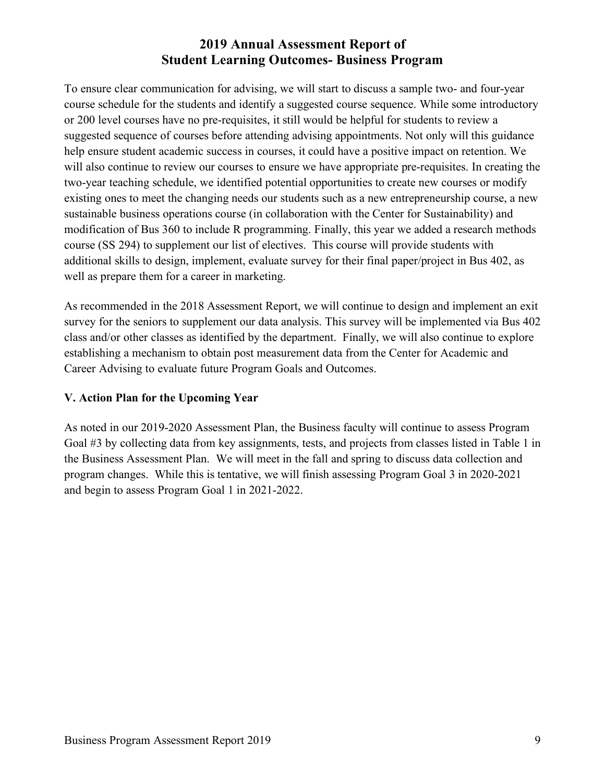To ensure clear communication for advising, we will start to discuss a sample two- and four-year course schedule for the students and identify a suggested course sequence. While some introductory or 200 level courses have no pre-requisites, it still would be helpful for students to review a suggested sequence of courses before attending advising appointments. Not only will this guidance help ensure student academic success in courses, it could have a positive impact on retention. We will also continue to review our courses to ensure we have appropriate pre-requisites. In creating the two-year teaching schedule, we identified potential opportunities to create new courses or modify existing ones to meet the changing needs our students such as a new entrepreneurship course, a new sustainable business operations course (in collaboration with the Center for Sustainability) and modification of Bus 360 to include R programming. Finally, this year we added a research methods course (SS 294) to supplement our list of electives. This course will provide students with additional skills to design, implement, evaluate survey for their final paper/project in Bus 402, as well as prepare them for a career in marketing.

As recommended in the 2018 Assessment Report, we will continue to design and implement an exit survey for the seniors to supplement our data analysis. This survey will be implemented via Bus 402 class and/or other classes as identified by the department. Finally, we will also continue to explore establishing a mechanism to obtain post measurement data from the Center for Academic and Career Advising to evaluate future Program Goals and Outcomes.

#### **V. Action Plan for the Upcoming Year**

As noted in our 2019-2020 Assessment Plan, the Business faculty will continue to assess Program Goal #3 by collecting data from key assignments, tests, and projects from classes listed in Table 1 in the Business Assessment Plan. We will meet in the fall and spring to discuss data collection and program changes. While this is tentative, we will finish assessing Program Goal 3 in 2020-2021 and begin to assess Program Goal 1 in 2021-2022.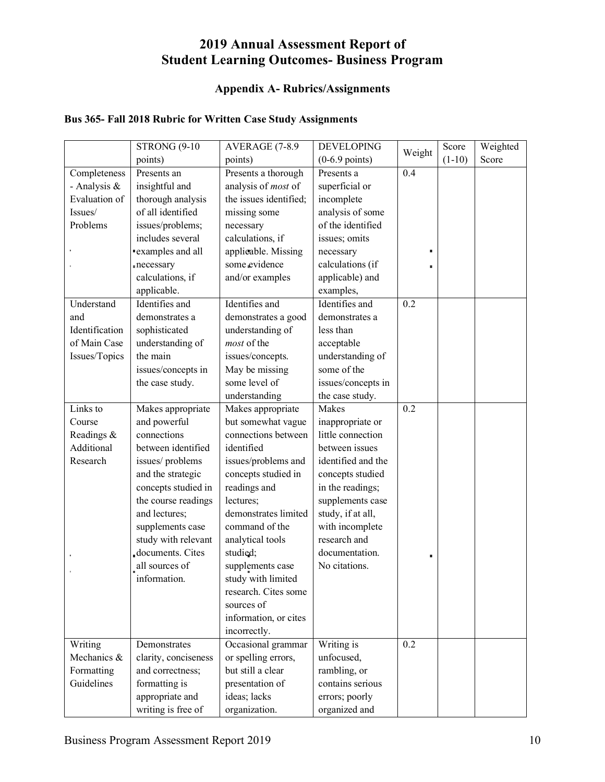#### **Appendix A- Rubrics/Assignments**

#### **Bus 365- Fall 2018 Rubric for Written Case Study Assignments**

|                | <b>STRONG (9-10)</b> | AVERAGE (7-8.9         | <b>DEVELOPING</b>        |        | Score    | Weighted |
|----------------|----------------------|------------------------|--------------------------|--------|----------|----------|
|                | points)              | points)                | $(0-6.9 \text{ points})$ | Weight | $(1-10)$ | Score    |
| Completeness   | Presents an          | Presents a thorough    | Presents a               | 0.4    |          |          |
| - Analysis &   | insightful and       | analysis of most of    | superficial or           |        |          |          |
| Evaluation of  | thorough analysis    | the issues identified; | incomplete               |        |          |          |
| Issues/        | of all identified    | missing some           | analysis of some         |        |          |          |
| Problems       | issues/problems;     | necessary              | of the identified        |        |          |          |
|                | includes several     | calculations, if       | issues; omits            |        |          |          |
|                | "examples and all    | applicable. Missing    | necessary                |        |          |          |
|                | necessary            | some evidence          | calculations (if         |        |          |          |
|                | calculations, if     | and/or examples        | applicable) and          |        |          |          |
|                | applicable.          |                        | examples,                |        |          |          |
| Understand     | Identifies and       | Identifies and         | Identifies and           | 0.2    |          |          |
| and            | demonstrates a       | demonstrates a good    | demonstrates a           |        |          |          |
| Identification | sophisticated        | understanding of       | less than                |        |          |          |
| of Main Case   | understanding of     | most of the            | acceptable               |        |          |          |
| Issues/Topics  | the main             | issues/concepts.       | understanding of         |        |          |          |
|                | issues/concepts in   | May be missing         | some of the              |        |          |          |
|                | the case study.      | some level of          | issues/concepts in       |        |          |          |
|                |                      | understanding          | the case study.          |        |          |          |
| Links to       | Makes appropriate    | Makes appropriate      | Makes                    | 0.2    |          |          |
| Course         | and powerful         | but somewhat vague     | inappropriate or         |        |          |          |
| Readings &     | connections          | connections between    | little connection        |        |          |          |
| Additional     | between identified   | identified             | between issues           |        |          |          |
| Research       | issues/problems      | issues/problems and    | identified and the       |        |          |          |
|                | and the strategic    | concepts studied in    | concepts studied         |        |          |          |
|                | concepts studied in  | readings and           | in the readings;         |        |          |          |
|                | the course readings  | lectures;              | supplements case         |        |          |          |
|                | and lectures;        | demonstrates limited   | study, if at all,        |        |          |          |
|                | supplements case     | command of the         | with incomplete          |        |          |          |
|                | study with relevant  | analytical tools       | research and             |        |          |          |
|                | documents. Cites     | studied;               | documentation.           | п      |          |          |
|                | all sources of       | supplements case       | No citations.            |        |          |          |
|                | information          | study with limited     |                          |        |          |          |
|                |                      | research. Cites some   |                          |        |          |          |
|                |                      | sources of             |                          |        |          |          |
|                |                      | information, or cites  |                          |        |          |          |
|                |                      | incorrectly.           |                          |        |          |          |
| Writing        | Demonstrates         | Occasional grammar     | Writing is               | 0.2    |          |          |
| Mechanics &    | clarity, conciseness | or spelling errors,    | unfocused,               |        |          |          |
| Formatting     | and correctness;     | but still a clear      | rambling, or             |        |          |          |
| Guidelines     | formatting is        | presentation of        | contains serious         |        |          |          |
|                | appropriate and      | ideas; lacks           | errors; poorly           |        |          |          |
|                | writing is free of   | organization.          | organized and            |        |          |          |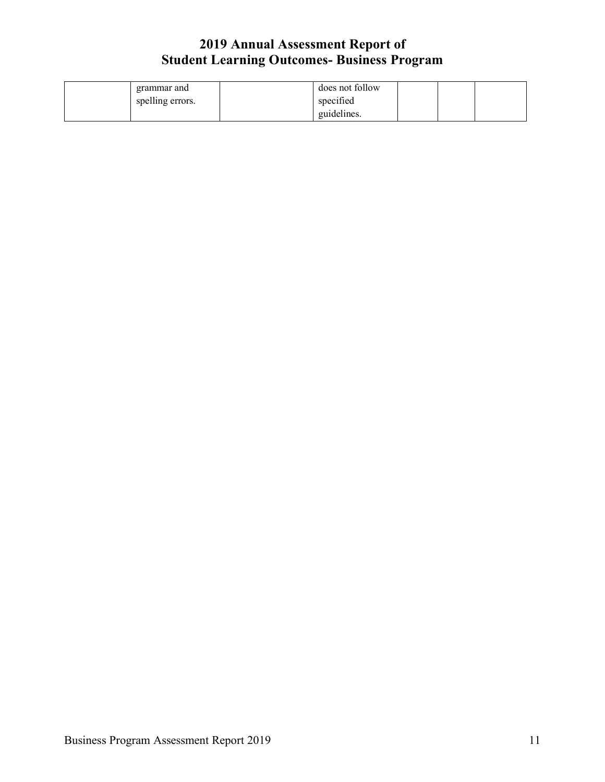| grammar and      | does not follow |  |  |
|------------------|-----------------|--|--|
| spelling errors. | specified       |  |  |
|                  | guidelines.     |  |  |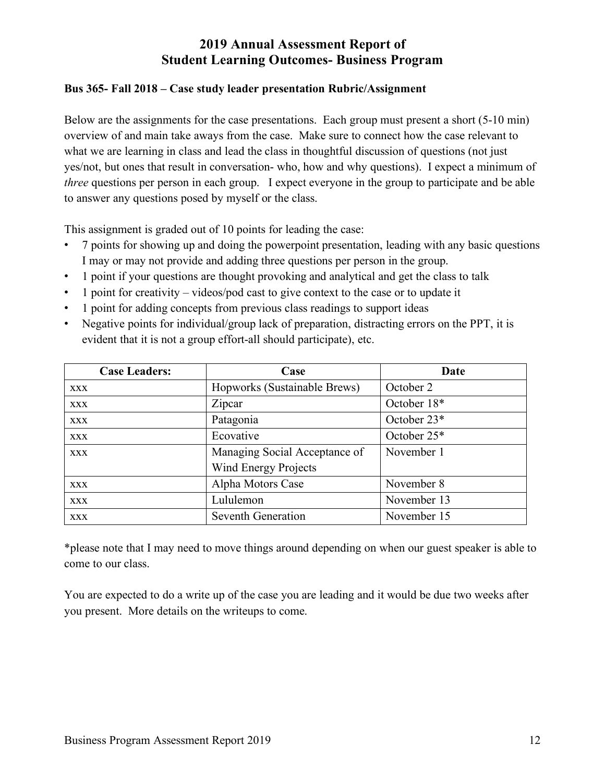#### **Bus 365- Fall 2018 – Case study leader presentation Rubric/Assignment**

Below are the assignments for the case presentations. Each group must present a short (5-10 min) overview of and main take aways from the case. Make sure to connect how the case relevant to what we are learning in class and lead the class in thoughtful discussion of questions (not just yes/not, but ones that result in conversation- who, how and why questions). I expect a minimum of *three* questions per person in each group. I expect everyone in the group to participate and be able to answer any questions posed by myself or the class.

This assignment is graded out of 10 points for leading the case:

- 7 points for showing up and doing the powerpoint presentation, leading with any basic questions I may or may not provide and adding three questions per person in the group.
- 1 point if your questions are thought provoking and analytical and get the class to talk
- 1 point for creativity videos/pod cast to give context to the case or to update it
- 1 point for adding concepts from previous class readings to support ideas
- Negative points for individual/group lack of preparation, distracting errors on the PPT, it is evident that it is not a group effort-all should participate), etc.

| <b>Case Leaders:</b> | Case                          | Date        |
|----------------------|-------------------------------|-------------|
| <b>XXX</b>           | Hopworks (Sustainable Brews)  | October 2   |
| <b>XXX</b>           | Zipcar                        | October 18* |
| <b>XXX</b>           | Patagonia                     | October 23* |
| <b>XXX</b>           | Ecovative                     | October 25* |
| <b>XXX</b>           | Managing Social Acceptance of | November 1  |
|                      | <b>Wind Energy Projects</b>   |             |
| <b>XXX</b>           | Alpha Motors Case             | November 8  |
| <b>XXX</b>           | Lululemon                     | November 13 |
| <b>XXX</b>           | Seventh Generation            | November 15 |

\*please note that I may need to move things around depending on when our guest speaker is able to come to our class.

You are expected to do a write up of the case you are leading and it would be due two weeks after you present. More details on the writeups to come.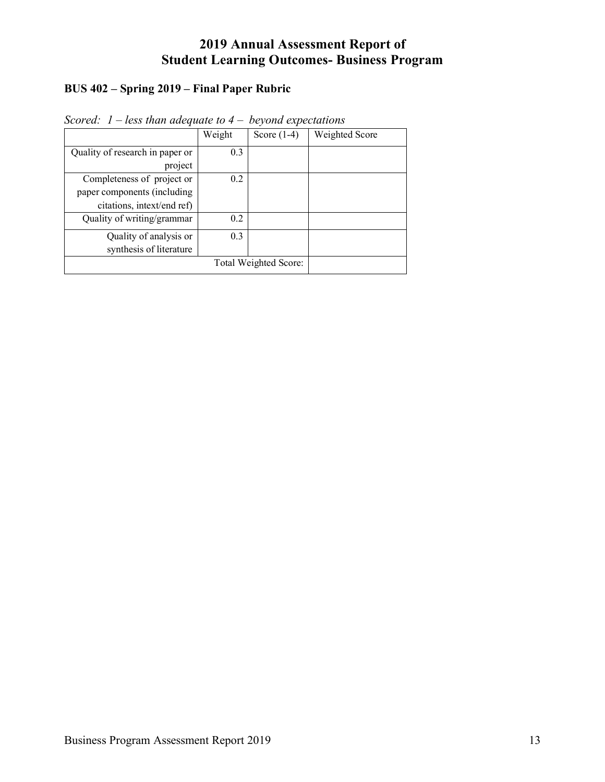#### **BUS 402 – Spring 2019 – Final Paper Rubric**

|                                 | Weight | Score $(1-4)$ | Weighted Score |
|---------------------------------|--------|---------------|----------------|
| Quality of research in paper or | 0.3    |               |                |
| project                         |        |               |                |
| Completeness of project or      | 0.2    |               |                |
| paper components (including     |        |               |                |
| citations, intext/end ref)      |        |               |                |
| Quality of writing/grammar      | 0.2    |               |                |
| Quality of analysis or          | 0.3    |               |                |
| synthesis of literature         |        |               |                |
|                                 |        |               |                |

*Scored: 1 – less than adequate to 4 – beyond expectations*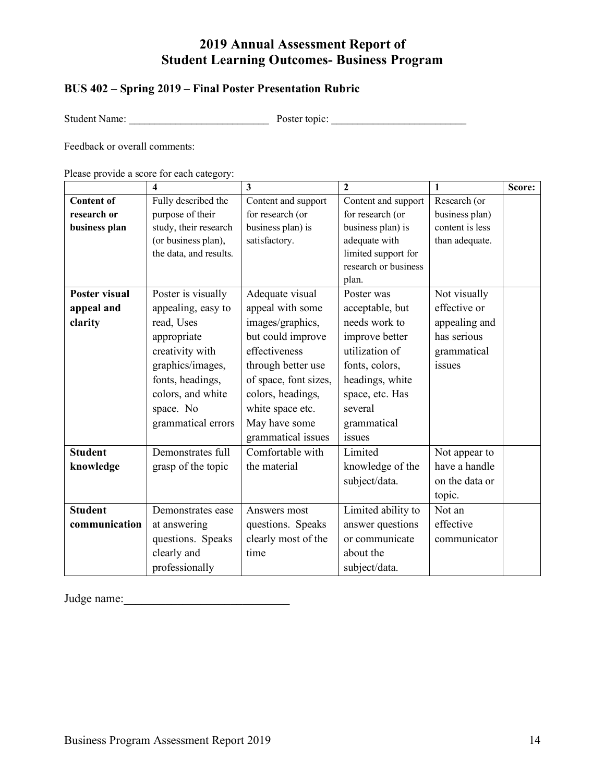### **BUS 402 – Spring 2019 – Final Poster Presentation Rubric**

Student Name: \_\_\_\_\_\_\_\_\_\_\_\_\_\_\_\_\_\_\_\_\_\_\_\_\_\_\_ Poster topic: \_\_\_\_\_\_\_\_\_\_\_\_\_\_\_\_\_\_\_\_\_\_\_\_\_\_

Feedback or overall comments:

Please provide a score for each category:

|                      | 4                      | $\overline{\mathbf{3}}$ | $\overline{2}$       | 1               | Score: |
|----------------------|------------------------|-------------------------|----------------------|-----------------|--------|
| <b>Content of</b>    | Fully described the    | Content and support     | Content and support  | Research (or    |        |
| research or          | purpose of their       | for research (or        | for research (or     | business plan)  |        |
| business plan        | study, their research  | business plan) is       | business plan) is    | content is less |        |
|                      | (or business plan),    | satisfactory.           | adequate with        | than adequate.  |        |
|                      | the data, and results. |                         | limited support for  |                 |        |
|                      |                        |                         | research or business |                 |        |
|                      |                        |                         | plan.                |                 |        |
| <b>Poster visual</b> | Poster is visually     | Adequate visual         | Poster was           | Not visually    |        |
| appeal and           | appealing, easy to     | appeal with some        | acceptable, but      | effective or    |        |
| clarity              | read, Uses             | images/graphics,        | needs work to        | appealing and   |        |
|                      | appropriate            | but could improve       | improve better       | has serious     |        |
|                      | creativity with        | effectiveness           | utilization of       | grammatical     |        |
|                      | graphics/images,       | through better use      | fonts, colors,       | issues          |        |
|                      | fonts, headings,       | of space, font sizes,   | headings, white      |                 |        |
|                      | colors, and white      | colors, headings,       | space, etc. Has      |                 |        |
|                      | space. No              | white space etc.        | several              |                 |        |
|                      | grammatical errors     | May have some           | grammatical          |                 |        |
|                      |                        | grammatical issues      | issues               |                 |        |
| <b>Student</b>       | Demonstrates full      | Comfortable with        | Limited              | Not appear to   |        |
| knowledge            | grasp of the topic     | the material            | knowledge of the     | have a handle   |        |
|                      |                        |                         | subject/data.        | on the data or  |        |
|                      |                        |                         |                      | topic.          |        |
| <b>Student</b>       | Demonstrates ease      | Answers most            | Limited ability to   | Not an          |        |
| communication        | at answering           | questions. Speaks       | answer questions     | effective       |        |
|                      | questions. Speaks      | clearly most of the     | or communicate       | communicator    |        |
|                      | clearly and            | time                    | about the            |                 |        |
|                      | professionally         |                         | subject/data.        |                 |        |

Judge name:\_\_\_\_\_\_\_\_\_\_\_\_\_\_\_\_\_\_\_\_\_\_\_\_\_\_\_\_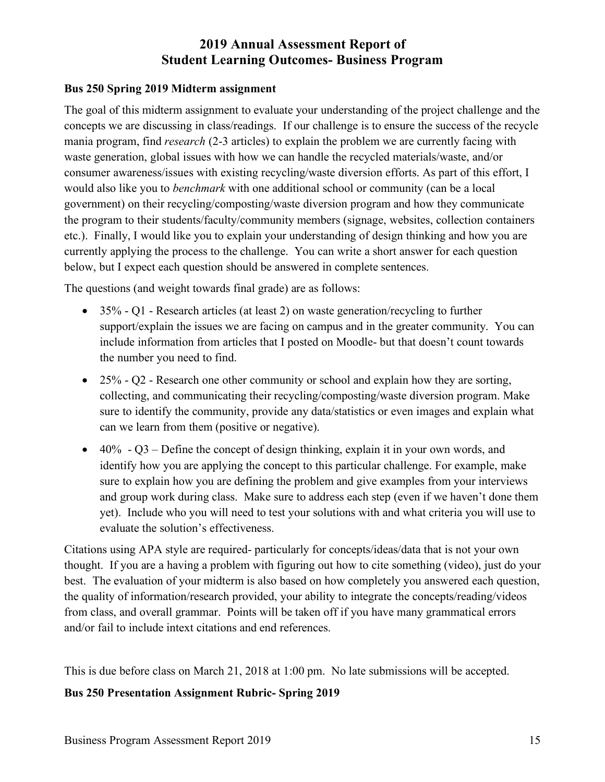#### **Bus 250 Spring 2019 Midterm assignment**

The goal of this midterm assignment to evaluate your understanding of the project challenge and the concepts we are discussing in class/readings. If our challenge is to ensure the success of the recycle mania program, find *research* (2-3 articles) to explain the problem we are currently facing with waste generation, global issues with how we can handle the recycled materials/waste, and/or consumer awareness/issues with existing recycling/waste diversion efforts. As part of this effort, I would also like you to *benchmark* with one additional school or community (can be a local government) on their recycling/composting/waste diversion program and how they communicate the program to their students/faculty/community members (signage, websites, collection containers etc.). Finally, I would like you to explain your understanding of design thinking and how you are currently applying the process to the challenge. You can write a short answer for each question below, but I expect each question should be answered in complete sentences.

The questions (and weight towards final grade) are as follows:

- 35% Q1 Research articles (at least 2) on waste generation/recycling to further support/explain the issues we are facing on campus and in the greater community. You can include information from articles that I posted on Moodle- but that doesn't count towards the number you need to find.
- 25% Q2 Research one other community or school and explain how they are sorting, collecting, and communicating their recycling/composting/waste diversion program. Make sure to identify the community, provide any data/statistics or even images and explain what can we learn from them (positive or negative).
- $\bullet$  40% Q3 Define the concept of design thinking, explain it in your own words, and identify how you are applying the concept to this particular challenge. For example, make sure to explain how you are defining the problem and give examples from your interviews and group work during class. Make sure to address each step (even if we haven't done them yet). Include who you will need to test your solutions with and what criteria you will use to evaluate the solution's effectiveness.

Citations using APA style are required- particularly for concepts/ideas/data that is not your own thought. If you are a having a problem with figuring out how to cite something (video), just do your best. The evaluation of your midterm is also based on how completely you answered each question, the quality of information/research provided, your ability to integrate the concepts/reading/videos from class, and overall grammar. Points will be taken off if you have many grammatical errors and/or fail to include intext citations and end references.

This is due before class on March 21, 2018 at 1:00 pm. No late submissions will be accepted.

#### **Bus 250 Presentation Assignment Rubric- Spring 2019**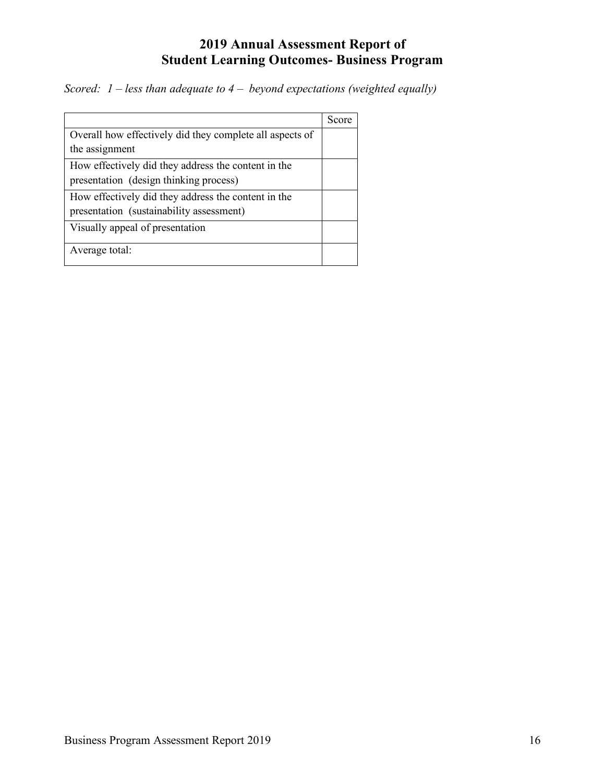*Scored: 1 – less than adequate to 4 – beyond expectations (weighted equally)*

|                                                          | Score |
|----------------------------------------------------------|-------|
| Overall how effectively did they complete all aspects of |       |
| the assignment                                           |       |
| How effectively did they address the content in the      |       |
| presentation (design thinking process)                   |       |
| How effectively did they address the content in the      |       |
| presentation (sustainability assessment)                 |       |
| Visually appeal of presentation                          |       |
| Average total:                                           |       |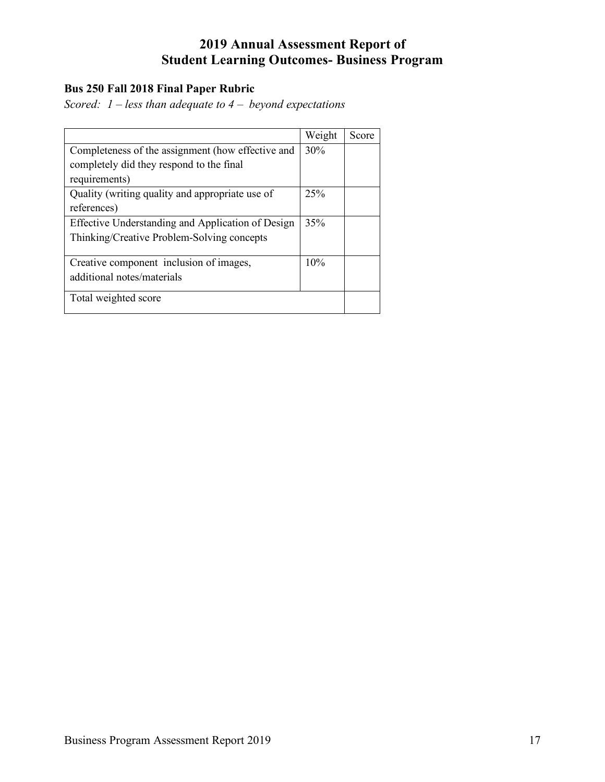#### **Bus 250 Fall 2018 Final Paper Rubric**

*Scored: 1 – less than adequate to 4 – beyond expectations* 

|                                                   | Weight | Score |
|---------------------------------------------------|--------|-------|
| Completeness of the assignment (how effective and | 30%    |       |
| completely did they respond to the final          |        |       |
| requirements)                                     |        |       |
| Quality (writing quality and appropriate use of   | 25%    |       |
| references)                                       |        |       |
| Effective Understanding and Application of Design | 35%    |       |
| Thinking/Creative Problem-Solving concepts        |        |       |
|                                                   |        |       |
| Creative component inclusion of images,           | 10%    |       |
| additional notes/materials                        |        |       |
|                                                   |        |       |
| Total weighted score                              |        |       |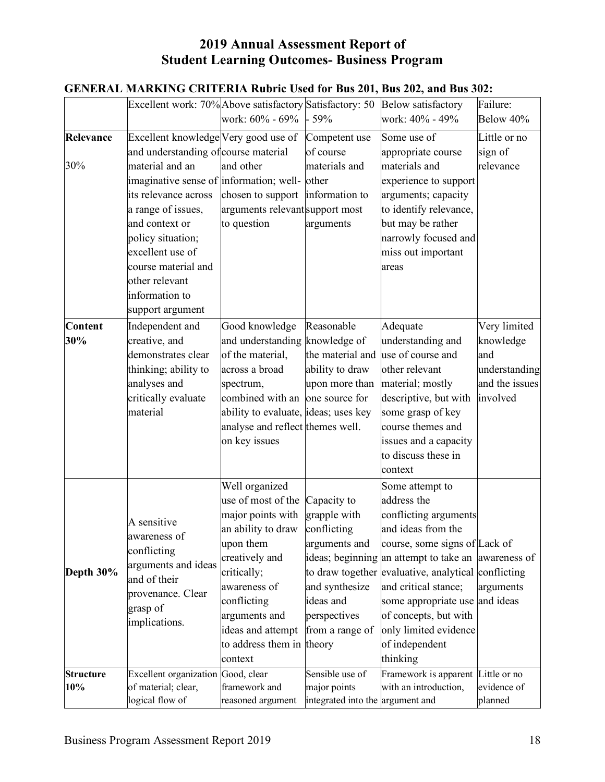|                  | GENEKAL MAKKING UKHEKIA KUDITC USEG IOI DUS 201, DUS 202, and DUS 302.     |                                      |                                  |                                                     |                |
|------------------|----------------------------------------------------------------------------|--------------------------------------|----------------------------------|-----------------------------------------------------|----------------|
|                  | Excellent work: 70% Above satisfactory Satisfactory: 50 Below satisfactory |                                      |                                  |                                                     | Failure:       |
|                  |                                                                            | work: 60% - 69%                      | $-59%$                           | work: 40% - 49%                                     | Below 40%      |
| Relevance        | Excellent knowledge Very good use of                                       |                                      | Competent use                    | Some use of                                         | Little or no   |
|                  | and understanding of course material                                       |                                      | of course                        | appropriate course                                  | sign of        |
| 30%              | material and an                                                            | and other                            | materials and                    | materials and                                       | relevance      |
|                  | imaginative sense of information; well-                                    |                                      | other                            | experience to support                               |                |
|                  | its relevance across                                                       | chosen to support                    | information to                   | arguments; capacity                                 |                |
|                  | a range of issues,                                                         | arguments relevantsupport most       |                                  | to identify relevance,                              |                |
|                  | and context or                                                             | to question                          | arguments                        | but may be rather                                   |                |
|                  | policy situation;                                                          |                                      |                                  | narrowly focused and                                |                |
|                  | excellent use of                                                           |                                      |                                  | miss out important                                  |                |
|                  | course material and                                                        |                                      |                                  | areas                                               |                |
|                  | other relevant                                                             |                                      |                                  |                                                     |                |
|                  | information to                                                             |                                      |                                  |                                                     |                |
|                  | support argument                                                           |                                      |                                  |                                                     |                |
| <b>Content</b>   | Independent and                                                            | Good knowledge                       | Reasonable                       | Adequate                                            | Very limited   |
| 30%              | creative, and                                                              | and understanding knowledge of       |                                  | understanding and                                   | knowledge      |
|                  | demonstrates clear                                                         | of the material,                     | the material and                 | use of course and                                   | and            |
|                  | thinking; ability to                                                       | across a broad                       | ability to draw                  | other relevant                                      | understanding  |
|                  | analyses and                                                               | spectrum,                            | upon more than                   | material; mostly                                    | and the issues |
|                  | critically evaluate                                                        | combined with an                     | one source for                   | descriptive, but with                               | involved       |
|                  | material                                                                   | ability to evaluate, ideas; uses key |                                  | some grasp of key                                   |                |
|                  |                                                                            | analyse and reflect themes well.     |                                  | course themes and                                   |                |
|                  |                                                                            | on key issues                        |                                  | issues and a capacity                               |                |
|                  |                                                                            |                                      |                                  | to discuss these in                                 |                |
|                  |                                                                            |                                      |                                  | context                                             |                |
|                  |                                                                            | Well organized                       |                                  | Some attempt to                                     |                |
|                  |                                                                            | use of most of the                   | Capacity to                      | address the                                         |                |
|                  |                                                                            | major points with                    | grapple with                     | conflicting arguments                               |                |
|                  | A sensitive                                                                | an ability to draw                   | conflicting                      | and ideas from the                                  |                |
|                  | awareness of                                                               | upon them                            | arguments and                    | course, some signs of Lack of                       |                |
|                  | conflicting                                                                | creatively and                       |                                  | ideas; beginning an attempt to take an awareness of |                |
| Depth 30%        | arguments and ideas<br>and of their<br>provenance. Clear<br>grasp of       | critically;                          |                                  | to draw together evaluative, analytical conflicting |                |
|                  |                                                                            | awareness of                         | and synthesize                   | and critical stance;                                | arguments      |
|                  |                                                                            | conflicting                          | ideas and                        | some appropriate use and ideas                      |                |
|                  |                                                                            | arguments and                        | perspectives                     | of concepts, but with                               |                |
|                  | implications.                                                              | ideas and attempt                    | from a range of                  | only limited evidence                               |                |
|                  |                                                                            | to address them in theory            |                                  | of independent                                      |                |
|                  |                                                                            | context                              |                                  | thinking                                            |                |
| <b>Structure</b> | Excellent organization Good, clear                                         |                                      | Sensible use of                  | Framework is apparent                               | Little or no   |
| 10%              | of material; clear,                                                        | framework and                        | major points                     | with an introduction,                               | evidence of    |
|                  | logical flow of                                                            | reasoned argument                    | integrated into the argument and |                                                     | planned        |

# **GENERAL MARKING CRITERIA Rubric Used for Bus 201, Bus 202, and Bus 302:**